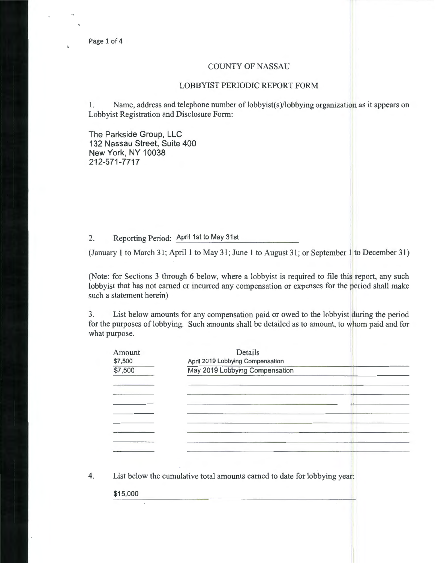## COUNTY OF NASSAU

## LOBBYIST PERIODIC REPORT FORM

1. Name, address and telephone number of lobbyist(s)/lobbying organization as it appears on Lobbyist Registration and Disclosure Form:

The Parkside Group, LLC 132 Nassau Street, Suite 400 New York, NY 10038 212-571-7717

## 2. Reporting Period: April 1st to May 31st

(January 1 to March 31; April 1 to May 31; June 1 to August 31; or September 1 to December 31)

(Note: for Sections 3 through 6 below, where a lobbyist is required to file this report, any such lobbyist that has not earned or incurred any compensation or expenses for the period shall make such a statement herein)

3. List below amounts for any compensation paid or owed to the lobbyist during the period for the purposes of lobbying. Such amounts shall be detailed as to amount, to whom paid and for what purpose.

| Amount   | Details                                                                   |
|----------|---------------------------------------------------------------------------|
| \$7,500  | April 2019 Lobbying Compensation                                          |
| \$7,500  | May 2019 Lobbying Compensation                                            |
|          |                                                                           |
|          |                                                                           |
|          |                                                                           |
|          |                                                                           |
|          |                                                                           |
|          |                                                                           |
|          |                                                                           |
|          |                                                                           |
|          | ٠                                                                         |
|          | List below the cumulative total amounts earned to date for lobbying year: |
| \$15,000 |                                                                           |
|          |                                                                           |
|          |                                                                           |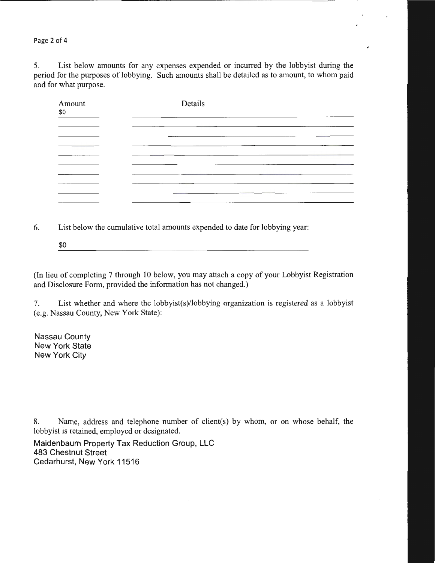Page 2 of 4

5. List below amounts for any expenses expended or incurred by the lobbyist during the period for the purposes of lobbying. Such amounts shall be detailed as to amount, to whom paid and for what purpose.

| Amount<br>\$0 | Details |
|---------------|---------|
|               |         |
|               |         |
|               |         |
|               |         |
|               |         |
|               |         |
|               |         |
|               |         |
|               |         |

6. List below the cumulative total amounts expended to date for lobbying year:

<u> 1980 - Jan Samuel Barbara, martin da basar da basar da basar da basar da basar da basar da basar da basar da</u> \$0

(In lieu of completing 7 through 10 below, you may attach a copy of your Lobbyist Registration and Disclosure Form, provided the information has not changed.)

7. List whether and where the lobbyist(s)/lobbying organization is registered as a lobbyist (e.g. Nassau County, New York State):

Nassau County New York State New York City

8. Name, address and telephone number of client(s) by whom, or on whose behalf, the lobbyist is retained, employed or designated.

Maidenbaum Property Tax Reduction Group, LLC 483 Chestnut Street Cedarhurst, New York 11516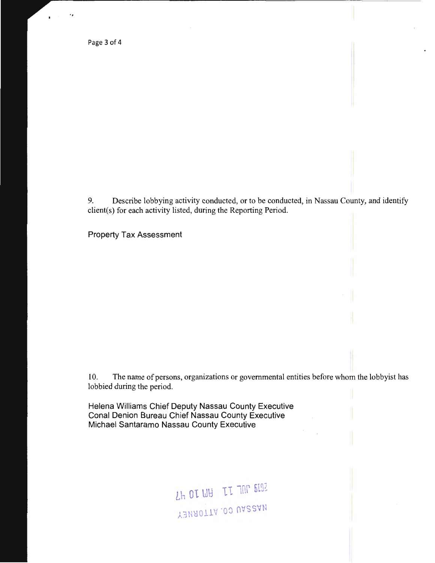Page 3 of 4

..

9. Describe lobbying activity conducted, or to be conducted, in Nassau County, and identify client(s) for each activity listed, during the Reporting Period.

Property Tax Assessment

10. The name of persons, organizations or governmental entities before whom the lobbyist has lobbied during the period.

Helena Williams Chief Deputy Nassau County Executive Conal Denion Bureau Chief Nassau County Executive Michael Santaramo Nassau County Executive

> $L$ <sup>H</sup> OT  $U$ B 11 10 6102 Y3MA0TTA.00 UA22AN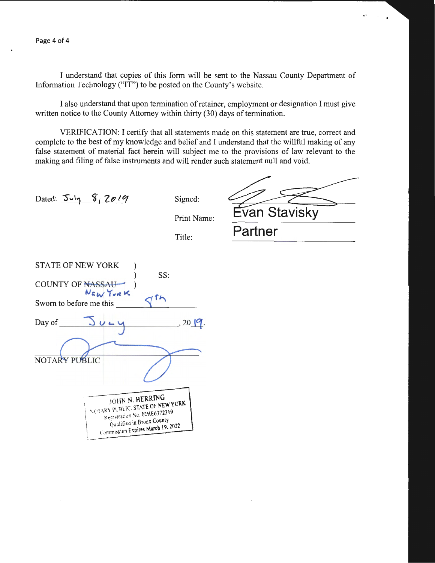I understand that copies of this form will be sent to the Nassau County Department of Information Technology ("IT") to be posted on the County's website.

I also understand that upon termination of retainer, employment or designation I must give written notice to the County Attorney within thirty (30) days of termination.

VERIFICATION: I certify that all statements made on this statement are true, correct and complete to the best of my knowledge and belief and I understand that the willful making of any false statement of material fact herein will subject me to the provisions of law relevant to the making and filing of false instruments and will render such statement null and void.

Dated:  $5-y$  8, 2019

Signed:

Print Name:

..

Title:

 $\frac{\text{Evan Stavisky}}{\text{Patterner}}$ 

| <b>STATE OF NEW YORK</b>                                       |
|----------------------------------------------------------------|
| SS:                                                            |
| <b>COUNTY OF NASSAU-</b>                                       |
| NEW YORK                                                       |
| Sworn to before me this                                        |
|                                                                |
| , 20   9<br>Day of                                             |
|                                                                |
|                                                                |
| NOTARY PUBLIC                                                  |
|                                                                |
|                                                                |
| JOHN N. HERRING                                                |
| NOTARY PUBLIC, STATE OF NEW YORK                               |
| Registration Ne. 02HE6372319                                   |
| Qualified in Bronx County<br>Commission Expires March 19, 2022 |
|                                                                |